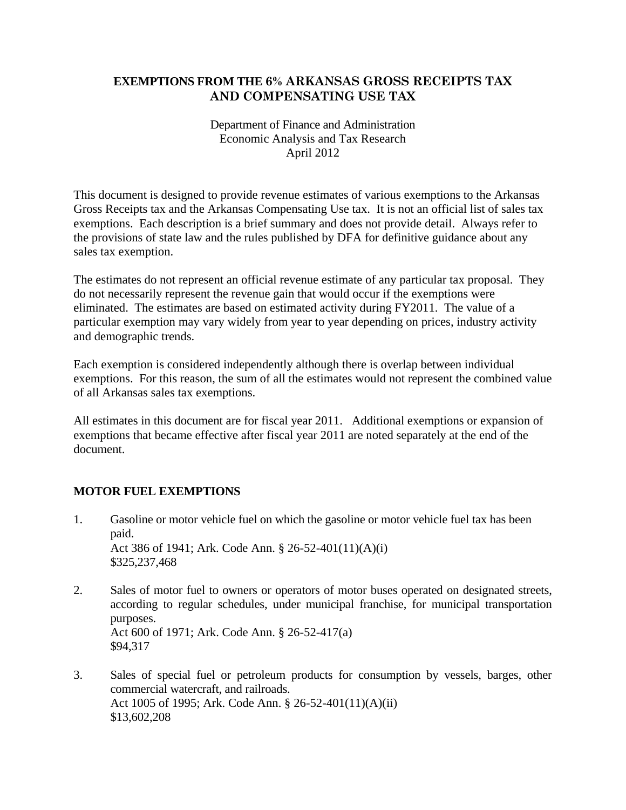# **EXEMPTIONS FROM THE 6% ARKANSAS GROSS RECEIPTS TAX AND COMPENSATING USE TAX**

#### Department of Finance and Administration Economic Analysis and Tax Research April 2012

This document is designed to provide revenue estimates of various exemptions to the Arkansas Gross Receipts tax and the Arkansas Compensating Use tax. It is not an official list of sales tax exemptions. Each description is a brief summary and does not provide detail. Always refer to the provisions of state law and the rules published by DFA for definitive guidance about any sales tax exemption.

The estimates do not represent an official revenue estimate of any particular tax proposal. They do not necessarily represent the revenue gain that would occur if the exemptions were eliminated. The estimates are based on estimated activity during FY2011. The value of a particular exemption may vary widely from year to year depending on prices, industry activity and demographic trends.

Each exemption is considered independently although there is overlap between individual exemptions. For this reason, the sum of all the estimates would not represent the combined value of all Arkansas sales tax exemptions.

All estimates in this document are for fiscal year 2011. Additional exemptions or expansion of exemptions that became effective after fiscal year 2011 are noted separately at the end of the document.

# **MOTOR FUEL EXEMPTIONS**

- 1. Gasoline or motor vehicle fuel on which the gasoline or motor vehicle fuel tax has been paid. Act 386 of 1941; Ark. Code Ann. § 26-52-401(11)(A)(i) \$325,237,468
- 2. Sales of motor fuel to owners or operators of motor buses operated on designated streets, according to regular schedules, under municipal franchise, for municipal transportation purposes. Act 600 of 1971; Ark. Code Ann. § 26-52-417(a) \$94,317
- 3. Sales of special fuel or petroleum products for consumption by vessels, barges, other commercial watercraft, and railroads. Act 1005 of 1995; Ark. Code Ann. § 26-52-401(11)(A)(ii) \$13,602,208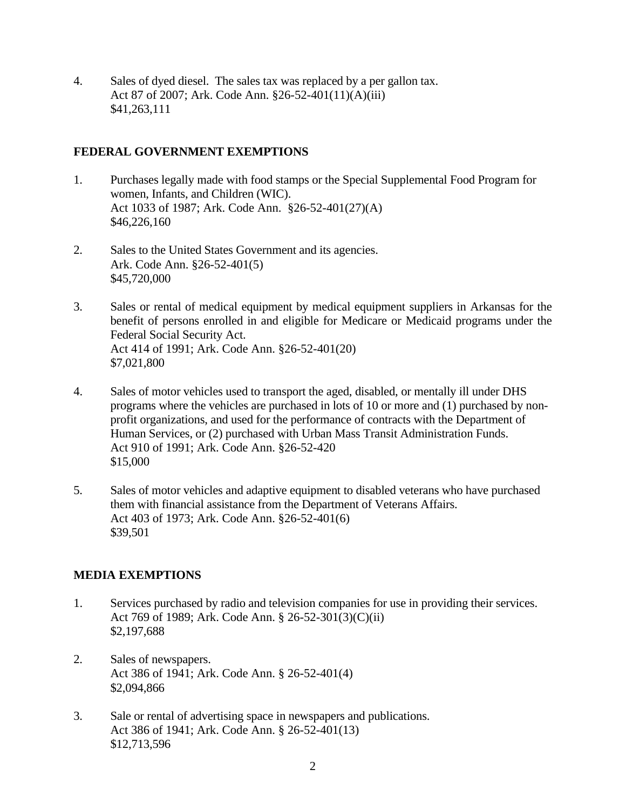4. Sales of dyed diesel. The sales tax was replaced by a per gallon tax. Act 87 of 2007; Ark. Code Ann. §26-52-401(11)(A)(iii) \$41,263,111

# **FEDERAL GOVERNMENT EXEMPTIONS**

- 1. Purchases legally made with food stamps or the Special Supplemental Food Program for women, Infants, and Children (WIC). Act 1033 of 1987; Ark. Code Ann. §26-52-401(27)(A) \$46,226,160
- 2. Sales to the United States Government and its agencies. Ark. Code Ann. §26-52-401(5) \$45,720,000
- 3. Sales or rental of medical equipment by medical equipment suppliers in Arkansas for the benefit of persons enrolled in and eligible for Medicare or Medicaid programs under the Federal Social Security Act. Act 414 of 1991; Ark. Code Ann. §26-52-401(20) \$7,021,800
- 4. Sales of motor vehicles used to transport the aged, disabled, or mentally ill under DHS programs where the vehicles are purchased in lots of 10 or more and (1) purchased by nonprofit organizations, and used for the performance of contracts with the Department of Human Services, or (2) purchased with Urban Mass Transit Administration Funds. Act 910 of 1991; Ark. Code Ann. §26-52-420 \$15,000
- 5. Sales of motor vehicles and adaptive equipment to disabled veterans who have purchased them with financial assistance from the Department of Veterans Affairs. Act 403 of 1973; Ark. Code Ann. §26-52-401(6) \$39,501

# **MEDIA EXEMPTIONS**

- 1. Services purchased by radio and television companies for use in providing their services. Act 769 of 1989; Ark. Code Ann. § 26-52-301(3)(C)(ii) \$2,197,688
- 2. Sales of newspapers. Act 386 of 1941; Ark. Code Ann. § 26-52-401(4) \$2,094,866
- 3. Sale or rental of advertising space in newspapers and publications. Act 386 of 1941; Ark. Code Ann. § 26-52-401(13) \$12,713,596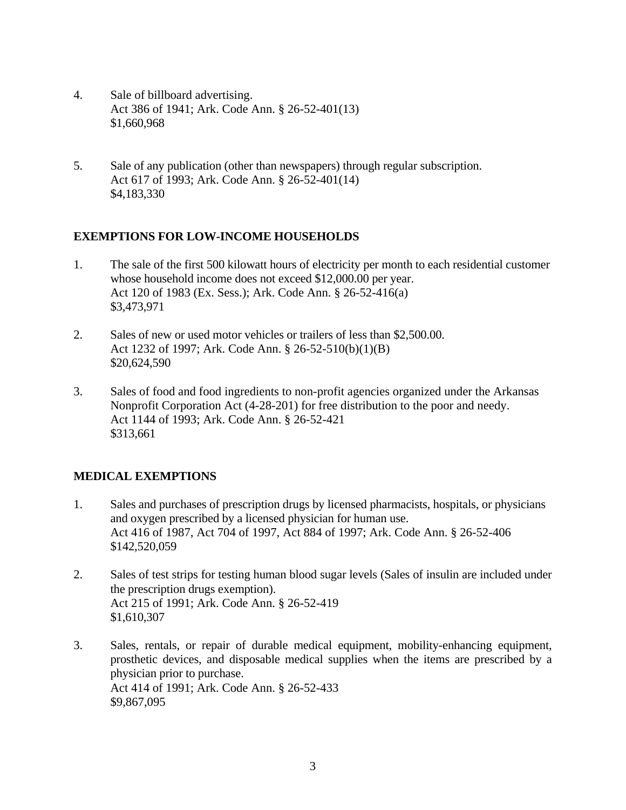- 4. Sale of billboard advertising. Act 386 of 1941; Ark. Code Ann. § 26-52-401(13) \$1,660,968
- 5. Sale of any publication (other than newspapers) through regular subscription. Act 617 of 1993; Ark. Code Ann. § 26-52-401(14) \$4,183,330

# **EXEMPTIONS FOR LOW-INCOME HOUSEHOLDS**

- 1. The sale of the first 500 kilowatt hours of electricity per month to each residential customer whose household income does not exceed \$12,000.00 per year. Act 120 of 1983 (Ex. Sess.); Ark. Code Ann. § 26-52-416(a) \$3,473,971
- 2. Sales of new or used motor vehicles or trailers of less than \$2,500.00. Act 1232 of 1997; Ark. Code Ann. § 26-52-510(b)(1)(B) \$20,624,590
- 3. Sales of food and food ingredients to non-profit agencies organized under the Arkansas Nonprofit Corporation Act (4-28-201) for free distribution to the poor and needy. Act 1144 of 1993; Ark. Code Ann. § 26-52-421 \$313,661

# **MEDICAL EXEMPTIONS**

- 1. Sales and purchases of prescription drugs by licensed pharmacists, hospitals, or physicians and oxygen prescribed by a licensed physician for human use. Act 416 of 1987, Act 704 of 1997, Act 884 of 1997; Ark. Code Ann. § 26-52-406 \$142,520,059
- 2. Sales of test strips for testing human blood sugar levels (Sales of insulin are included under the prescription drugs exemption). Act 215 of 1991; Ark. Code Ann. § 26-52-419 \$1,610,307
- 3. Sales, rentals, or repair of durable medical equipment, mobility-enhancing equipment, prosthetic devices, and disposable medical supplies when the items are prescribed by a physician prior to purchase. Act 414 of 1991; Ark. Code Ann. § 26-52-433 \$9,867,095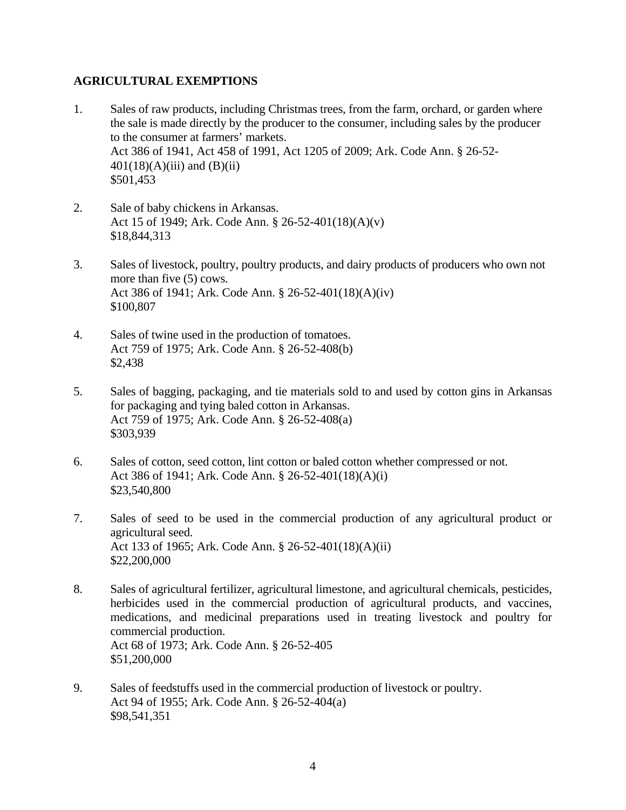#### **AGRICULTURAL EXEMPTIONS**

- 1. Sales of raw products, including Christmas trees, from the farm, orchard, or garden where the sale is made directly by the producer to the consumer, including sales by the producer to the consumer at farmers' markets. Act 386 of 1941, Act 458 of 1991, Act 1205 of 2009; Ark. Code Ann. § 26-52-  $401(18)(A)(iii)$  and  $(B)(ii)$ \$501,453
- 2. Sale of baby chickens in Arkansas. Act 15 of 1949; Ark. Code Ann. § 26-52-401(18)(A)(v) \$18,844,313
- 3. Sales of livestock, poultry, poultry products, and dairy products of producers who own not more than five (5) cows. Act 386 of 1941; Ark. Code Ann. § 26-52-401(18)(A)(iv) \$100,807
- 4. Sales of twine used in the production of tomatoes. Act 759 of 1975; Ark. Code Ann. § 26-52-408(b) \$2,438
- 5. Sales of bagging, packaging, and tie materials sold to and used by cotton gins in Arkansas for packaging and tying baled cotton in Arkansas. Act 759 of 1975; Ark. Code Ann. § 26-52-408(a) \$303,939
- 6. Sales of cotton, seed cotton, lint cotton or baled cotton whether compressed or not. Act 386 of 1941; Ark. Code Ann. § 26-52-401(18)(A)(i) \$23,540,800
- 7. Sales of seed to be used in the commercial production of any agricultural product or agricultural seed. Act 133 of 1965; Ark. Code Ann. § 26-52-401(18)(A)(ii) \$22,200,000
- 8. Sales of agricultural fertilizer, agricultural limestone, and agricultural chemicals, pesticides, herbicides used in the commercial production of agricultural products, and vaccines, medications, and medicinal preparations used in treating livestock and poultry for commercial production. Act 68 of 1973; Ark. Code Ann. § 26-52-405 \$51,200,000
- 9. Sales of feedstuffs used in the commercial production of livestock or poultry. Act 94 of 1955; Ark. Code Ann. § 26-52-404(a) \$98,541,351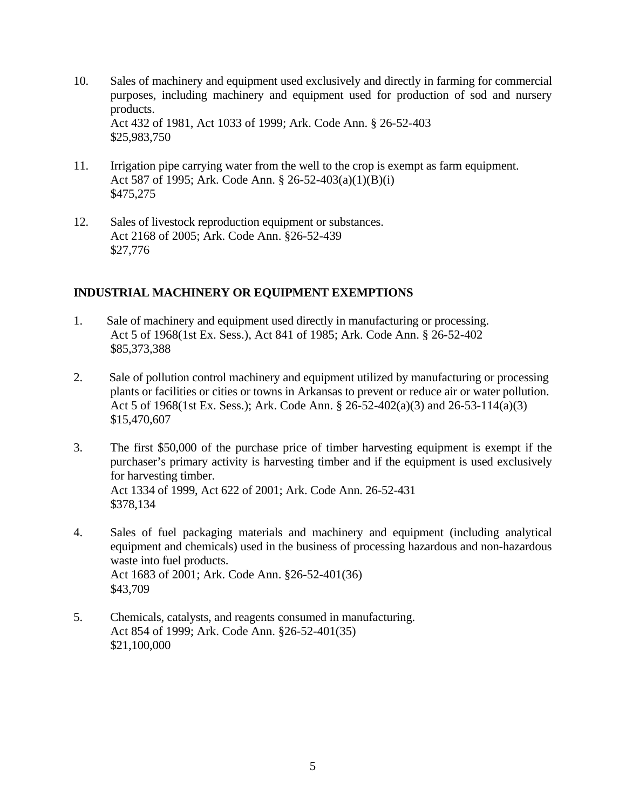- 10. Sales of machinery and equipment used exclusively and directly in farming for commercial purposes, including machinery and equipment used for production of sod and nursery products. Act 432 of 1981, Act 1033 of 1999; Ark. Code Ann. § 26-52-403 \$25,983,750
- 11. Irrigation pipe carrying water from the well to the crop is exempt as farm equipment. Act 587 of 1995; Ark. Code Ann. § 26-52-403(a)(1)(B)(i) \$475,275
- 12. Sales of livestock reproduction equipment or substances. Act 2168 of 2005; Ark. Code Ann. §26-52-439 \$27,776

# **INDUSTRIAL MACHINERY OR EQUIPMENT EXEMPTIONS**

- 1. Sale of machinery and equipment used directly in manufacturing or processing. Act 5 of 1968(1st Ex. Sess.), Act 841 of 1985; Ark. Code Ann. § 26-52-402 \$85,373,388
- 2. Sale of pollution control machinery and equipment utilized by manufacturing or processing plants or facilities or cities or towns in Arkansas to prevent or reduce air or water pollution. Act 5 of 1968(1st Ex. Sess.); Ark. Code Ann. § 26-52-402(a)(3) and 26-53-114(a)(3) \$15,470,607
- 3. The first \$50,000 of the purchase price of timber harvesting equipment is exempt if the purchaser's primary activity is harvesting timber and if the equipment is used exclusively for harvesting timber. Act 1334 of 1999, Act 622 of 2001; Ark. Code Ann. 26-52-431 \$378,134
- 4. Sales of fuel packaging materials and machinery and equipment (including analytical equipment and chemicals) used in the business of processing hazardous and non-hazardous waste into fuel products. Act 1683 of 2001; Ark. Code Ann. §26-52-401(36) \$43,709
- 5. Chemicals, catalysts, and reagents consumed in manufacturing. Act 854 of 1999; Ark. Code Ann. §26-52-401(35) \$21,100,000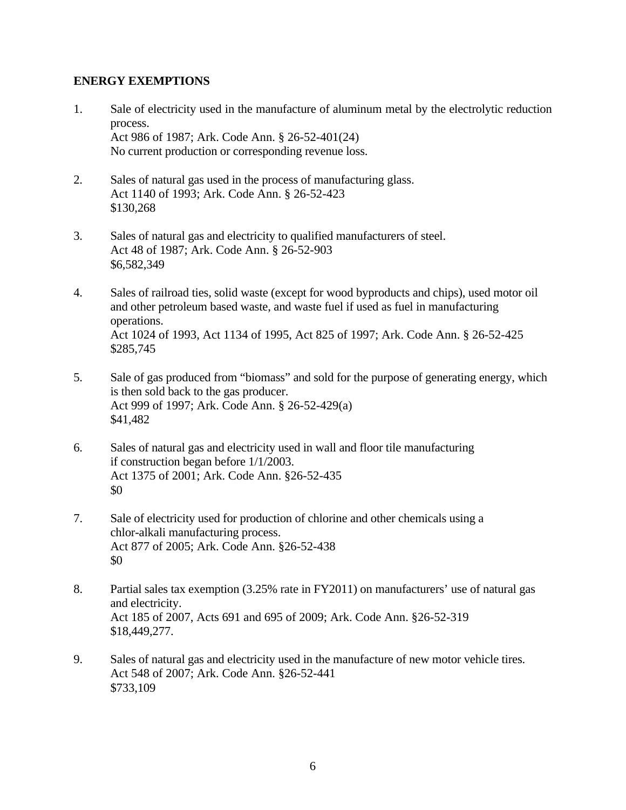#### **ENERGY EXEMPTIONS**

- 1. Sale of electricity used in the manufacture of aluminum metal by the electrolytic reduction process. Act 986 of 1987; Ark. Code Ann. § 26-52-401(24) No current production or corresponding revenue loss.
- 2. Sales of natural gas used in the process of manufacturing glass. Act 1140 of 1993; Ark. Code Ann. § 26-52-423 \$130,268
- 3. Sales of natural gas and electricity to qualified manufacturers of steel. Act 48 of 1987; Ark. Code Ann. § 26-52-903 \$6,582,349
- 4. Sales of railroad ties, solid waste (except for wood byproducts and chips), used motor oil and other petroleum based waste, and waste fuel if used as fuel in manufacturing operations. Act 1024 of 1993, Act 1134 of 1995, Act 825 of 1997; Ark. Code Ann. § 26-52-425 \$285,745
- 5. Sale of gas produced from "biomass" and sold for the purpose of generating energy, which is then sold back to the gas producer. Act 999 of 1997; Ark. Code Ann. § 26-52-429(a) \$41,482
- 6. Sales of natural gas and electricity used in wall and floor tile manufacturing if construction began before 1/1/2003. Act 1375 of 2001; Ark. Code Ann. §26-52-435 \$0
- 7. Sale of electricity used for production of chlorine and other chemicals using a chlor-alkali manufacturing process. Act 877 of 2005; Ark. Code Ann. §26-52-438 \$0
- 8. Partial sales tax exemption (3.25% rate in FY2011) on manufacturers' use of natural gas and electricity. Act 185 of 2007, Acts 691 and 695 of 2009; Ark. Code Ann. §26-52-319 \$18,449,277.
- 9. Sales of natural gas and electricity used in the manufacture of new motor vehicle tires. Act 548 of 2007; Ark. Code Ann. §26-52-441 \$733,109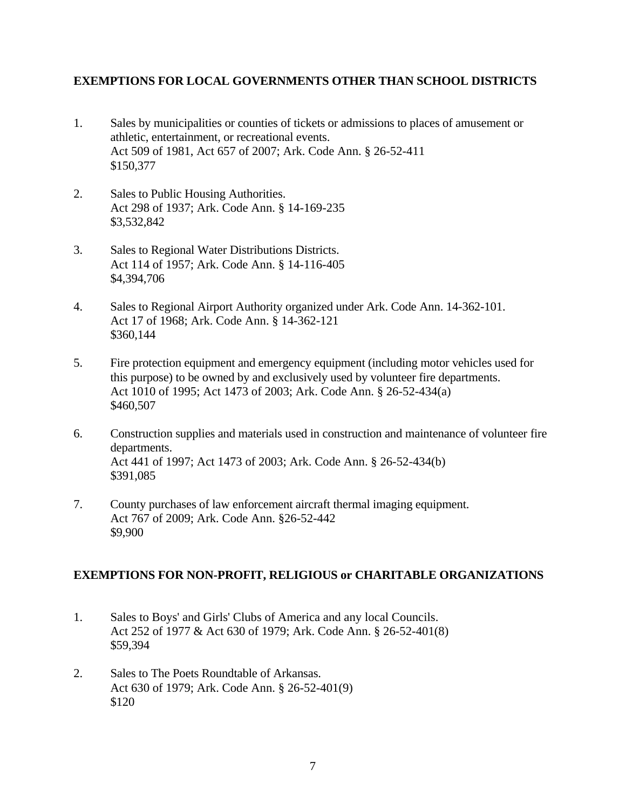#### **EXEMPTIONS FOR LOCAL GOVERNMENTS OTHER THAN SCHOOL DISTRICTS**

- 1. Sales by municipalities or counties of tickets or admissions to places of amusement or athletic, entertainment, or recreational events. Act 509 of 1981, Act 657 of 2007; Ark. Code Ann. § 26-52-411 \$150,377
- 2. Sales to Public Housing Authorities. Act 298 of 1937; Ark. Code Ann. § 14-169-235 \$3,532,842
- 3. Sales to Regional Water Distributions Districts. Act 114 of 1957; Ark. Code Ann. § 14-116-405 \$4,394,706
- 4. Sales to Regional Airport Authority organized under Ark. Code Ann. 14-362-101. Act 17 of 1968; Ark. Code Ann. § 14-362-121 \$360,144
- 5. Fire protection equipment and emergency equipment (including motor vehicles used for this purpose) to be owned by and exclusively used by volunteer fire departments. Act 1010 of 1995; Act 1473 of 2003; Ark. Code Ann. § 26-52-434(a) \$460,507
- 6. Construction supplies and materials used in construction and maintenance of volunteer fire departments. Act 441 of 1997; Act 1473 of 2003; Ark. Code Ann. § 26-52-434(b) \$391,085
- 7. County purchases of law enforcement aircraft thermal imaging equipment. Act 767 of 2009; Ark. Code Ann. §26-52-442 \$9,900

#### **EXEMPTIONS FOR NON-PROFIT, RELIGIOUS or CHARITABLE ORGANIZATIONS**

- 1. Sales to Boys' and Girls' Clubs of America and any local Councils. Act 252 of 1977 & Act 630 of 1979; Ark. Code Ann. § 26-52-401(8) \$59,394
- 2. Sales to The Poets Roundtable of Arkansas. Act 630 of 1979; Ark. Code Ann. § 26-52-401(9) \$120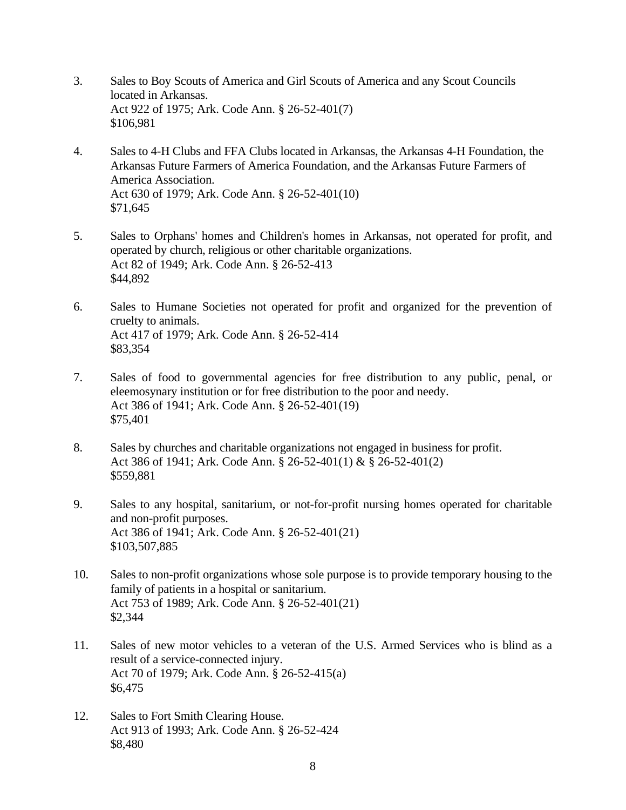- 3. Sales to Boy Scouts of America and Girl Scouts of America and any Scout Councils located in Arkansas. Act 922 of 1975; Ark. Code Ann. § 26-52-401(7) \$106,981
- 4. Sales to 4-H Clubs and FFA Clubs located in Arkansas, the Arkansas 4-H Foundation, the Arkansas Future Farmers of America Foundation, and the Arkansas Future Farmers of America Association. Act 630 of 1979; Ark. Code Ann. § 26-52-401(10) \$71,645
- 5. Sales to Orphans' homes and Children's homes in Arkansas, not operated for profit, and operated by church, religious or other charitable organizations. Act 82 of 1949; Ark. Code Ann. § 26-52-413 \$44,892
- 6. Sales to Humane Societies not operated for profit and organized for the prevention of cruelty to animals. Act 417 of 1979; Ark. Code Ann. § 26-52-414 \$83,354
- 7. Sales of food to governmental agencies for free distribution to any public, penal, or eleemosynary institution or for free distribution to the poor and needy. Act 386 of 1941; Ark. Code Ann. § 26-52-401(19) \$75,401
- 8. Sales by churches and charitable organizations not engaged in business for profit. Act 386 of 1941; Ark. Code Ann. § 26-52-401(1) & § 26-52-401(2) \$559,881
- 9. Sales to any hospital, sanitarium, or not-for-profit nursing homes operated for charitable and non-profit purposes. Act 386 of 1941; Ark. Code Ann. § 26-52-401(21) \$103,507,885
- 10. Sales to non-profit organizations whose sole purpose is to provide temporary housing to the family of patients in a hospital or sanitarium. Act 753 of 1989; Ark. Code Ann. § 26-52-401(21) \$2,344
- 11. Sales of new motor vehicles to a veteran of the U.S. Armed Services who is blind as a result of a service-connected injury. Act 70 of 1979; Ark. Code Ann. § 26-52-415(a) \$6,475
- 12. Sales to Fort Smith Clearing House. Act 913 of 1993; Ark. Code Ann. § 26-52-424 \$8,480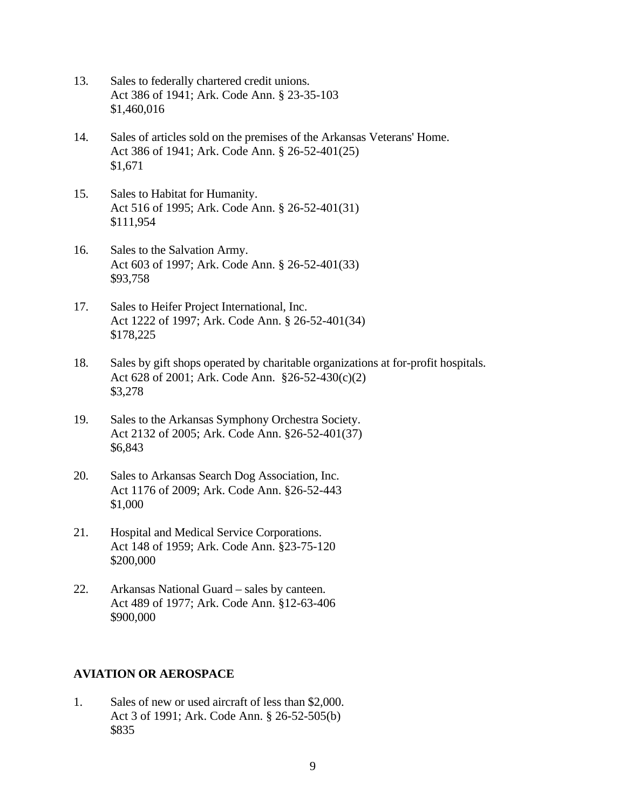- 13. Sales to federally chartered credit unions. Act 386 of 1941; Ark. Code Ann. § 23-35-103 \$1,460,016
- 14. Sales of articles sold on the premises of the Arkansas Veterans' Home. Act 386 of 1941; Ark. Code Ann. § 26-52-401(25) \$1,671
- 15. Sales to Habitat for Humanity. Act 516 of 1995; Ark. Code Ann. § 26-52-401(31) \$111,954
- 16. Sales to the Salvation Army. Act 603 of 1997; Ark. Code Ann. § 26-52-401(33) \$93,758
- 17. Sales to Heifer Project International, Inc. Act 1222 of 1997; Ark. Code Ann. § 26-52-401(34) \$178,225
- 18. Sales by gift shops operated by charitable organizations at for-profit hospitals. Act 628 of 2001; Ark. Code Ann. §26-52-430(c)(2) \$3,278
- 19. Sales to the Arkansas Symphony Orchestra Society. Act 2132 of 2005; Ark. Code Ann. §26-52-401(37) \$6,843
- 20. Sales to Arkansas Search Dog Association, Inc. Act 1176 of 2009; Ark. Code Ann. §26-52-443 \$1,000
- 21. Hospital and Medical Service Corporations. Act 148 of 1959; Ark. Code Ann. §23-75-120 \$200,000
- 22. Arkansas National Guard sales by canteen. Act 489 of 1977; Ark. Code Ann. §12-63-406 \$900,000

#### **AVIATION OR AEROSPACE**

1. Sales of new or used aircraft of less than \$2,000. Act 3 of 1991; Ark. Code Ann. § 26-52-505(b) \$835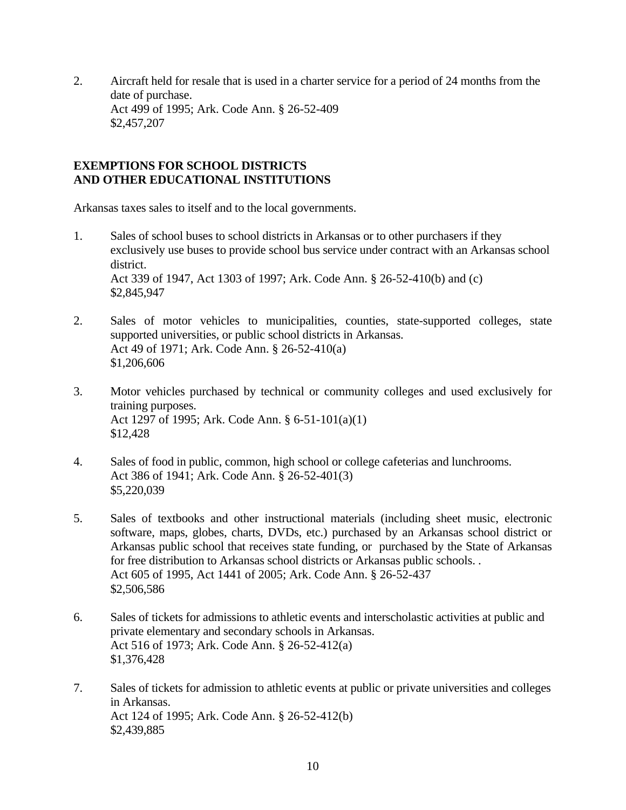2. Aircraft held for resale that is used in a charter service for a period of 24 months from the date of purchase. Act 499 of 1995; Ark. Code Ann. § 26-52-409 \$2,457,207

#### **EXEMPTIONS FOR SCHOOL DISTRICTS AND OTHER EDUCATIONAL INSTITUTIONS**

Arkansas taxes sales to itself and to the local governments.

- 1. Sales of school buses to school districts in Arkansas or to other purchasers if they exclusively use buses to provide school bus service under contract with an Arkansas school district. Act 339 of 1947, Act 1303 of 1997; Ark. Code Ann. § 26-52-410(b) and (c) \$2,845,947
- 2. Sales of motor vehicles to municipalities, counties, state-supported colleges, state supported universities, or public school districts in Arkansas. Act 49 of 1971; Ark. Code Ann. § 26-52-410(a) \$1,206,606
- 3. Motor vehicles purchased by technical or community colleges and used exclusively for training purposes. Act 1297 of 1995; Ark. Code Ann. § 6-51-101(a)(1) \$12,428
- 4. Sales of food in public, common, high school or college cafeterias and lunchrooms. Act 386 of 1941; Ark. Code Ann. § 26-52-401(3) \$5,220,039
- 5. Sales of textbooks and other instructional materials (including sheet music, electronic software, maps, globes, charts, DVDs, etc.) purchased by an Arkansas school district or Arkansas public school that receives state funding, or purchased by the State of Arkansas for free distribution to Arkansas school districts or Arkansas public schools. . Act 605 of 1995, Act 1441 of 2005; Ark. Code Ann. § 26-52-437 \$2,506,586
- 6. Sales of tickets for admissions to athletic events and interscholastic activities at public and private elementary and secondary schools in Arkansas. Act 516 of 1973; Ark. Code Ann. § 26-52-412(a) \$1,376,428
- 7. Sales of tickets for admission to athletic events at public or private universities and colleges in Arkansas. Act 124 of 1995; Ark. Code Ann. § 26-52-412(b) \$2,439,885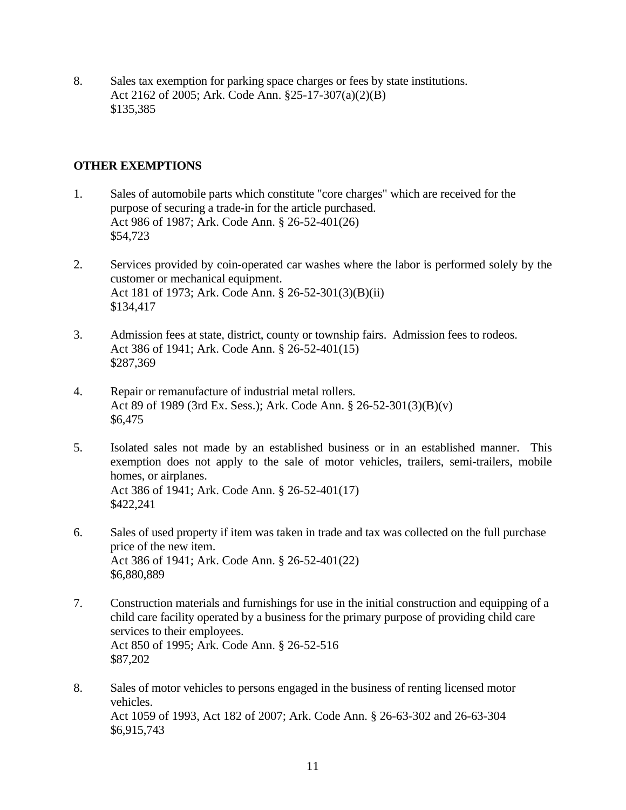8. Sales tax exemption for parking space charges or fees by state institutions. Act 2162 of 2005; Ark. Code Ann. §25-17-307(a)(2)(B) \$135,385

# **OTHER EXEMPTIONS**

- 1. Sales of automobile parts which constitute "core charges" which are received for the purpose of securing a trade-in for the article purchased. Act 986 of 1987; Ark. Code Ann. § 26-52-401(26) \$54,723
- 2. Services provided by coin-operated car washes where the labor is performed solely by the customer or mechanical equipment. Act 181 of 1973; Ark. Code Ann. § 26-52-301(3)(B)(ii) \$134,417
- 3. Admission fees at state, district, county or township fairs. Admission fees to rodeos. Act 386 of 1941; Ark. Code Ann. § 26-52-401(15) \$287,369
- 4. Repair or remanufacture of industrial metal rollers. Act 89 of 1989 (3rd Ex. Sess.); Ark. Code Ann. § 26-52-301(3)(B)(v) \$6,475
- 5. Isolated sales not made by an established business or in an established manner. This exemption does not apply to the sale of motor vehicles, trailers, semi-trailers, mobile homes, or airplanes. Act 386 of 1941; Ark. Code Ann. § 26-52-401(17) \$422,241
- 6. Sales of used property if item was taken in trade and tax was collected on the full purchase price of the new item. Act 386 of 1941; Ark. Code Ann. § 26-52-401(22) \$6,880,889
- 7. Construction materials and furnishings for use in the initial construction and equipping of a child care facility operated by a business for the primary purpose of providing child care services to their employees. Act 850 of 1995; Ark. Code Ann. § 26-52-516 \$87,202
- 8. Sales of motor vehicles to persons engaged in the business of renting licensed motor vehicles. Act 1059 of 1993, Act 182 of 2007; Ark. Code Ann. § 26-63-302 and 26-63-304 \$6,915,743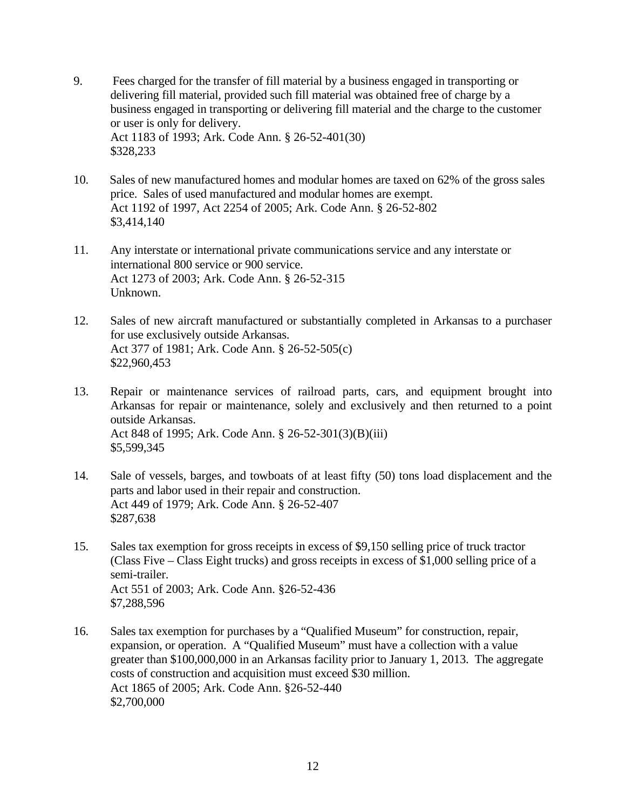- 9. Fees charged for the transfer of fill material by a business engaged in transporting or delivering fill material, provided such fill material was obtained free of charge by a business engaged in transporting or delivering fill material and the charge to the customer or user is only for delivery. Act 1183 of 1993; Ark. Code Ann. § 26-52-401(30) \$328,233
- 10. Sales of new manufactured homes and modular homes are taxed on 62% of the gross sales price. Sales of used manufactured and modular homes are exempt. Act 1192 of 1997, Act 2254 of 2005; Ark. Code Ann. § 26-52-802 \$3,414,140
- 11. Any interstate or international private communications service and any interstate or international 800 service or 900 service. Act 1273 of 2003; Ark. Code Ann. § 26-52-315 Unknown.
- 12. Sales of new aircraft manufactured or substantially completed in Arkansas to a purchaser for use exclusively outside Arkansas. Act 377 of 1981; Ark. Code Ann. § 26-52-505(c) \$22,960,453
- 13. Repair or maintenance services of railroad parts, cars, and equipment brought into Arkansas for repair or maintenance, solely and exclusively and then returned to a point outside Arkansas. Act 848 of 1995; Ark. Code Ann. § 26-52-301(3)(B)(iii) \$5,599,345
- 14. Sale of vessels, barges, and towboats of at least fifty (50) tons load displacement and the parts and labor used in their repair and construction. Act 449 of 1979; Ark. Code Ann. § 26-52-407 \$287,638
- 15. Sales tax exemption for gross receipts in excess of \$9,150 selling price of truck tractor (Class Five – Class Eight trucks) and gross receipts in excess of \$1,000 selling price of a semi-trailer. Act 551 of 2003; Ark. Code Ann. §26-52-436 \$7,288,596
- 16. Sales tax exemption for purchases by a "Qualified Museum" for construction, repair, expansion, or operation. A "Qualified Museum" must have a collection with a value greater than \$100,000,000 in an Arkansas facility prior to January 1, 2013. The aggregate costs of construction and acquisition must exceed \$30 million. Act 1865 of 2005; Ark. Code Ann. §26-52-440 \$2,700,000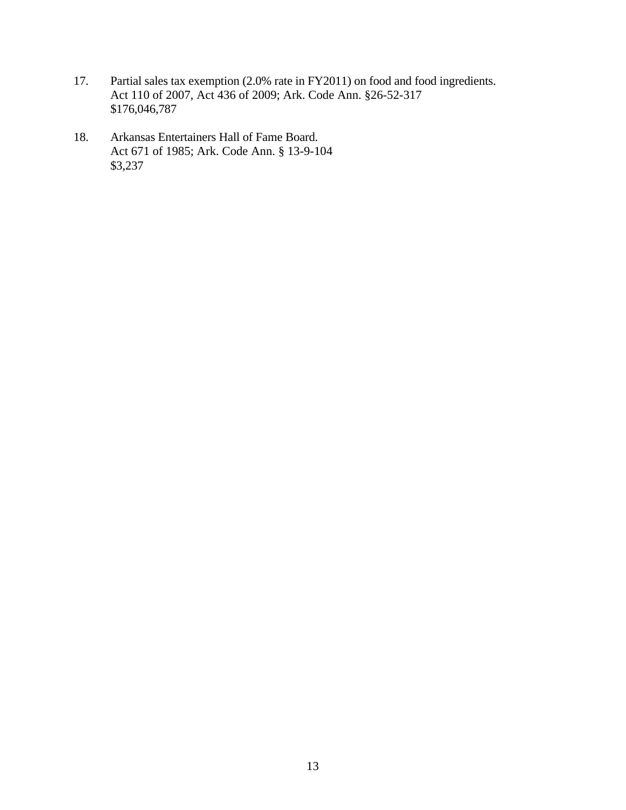- 17. Partial sales tax exemption (2.0% rate in FY2011) on food and food ingredients. Act 110 of 2007, Act 436 of 2009; Ark. Code Ann. §26-52-317 \$176,046,787
- 18. Arkansas Entertainers Hall of Fame Board. Act 671 of 1985; Ark. Code Ann. § 13-9-104 \$3,237